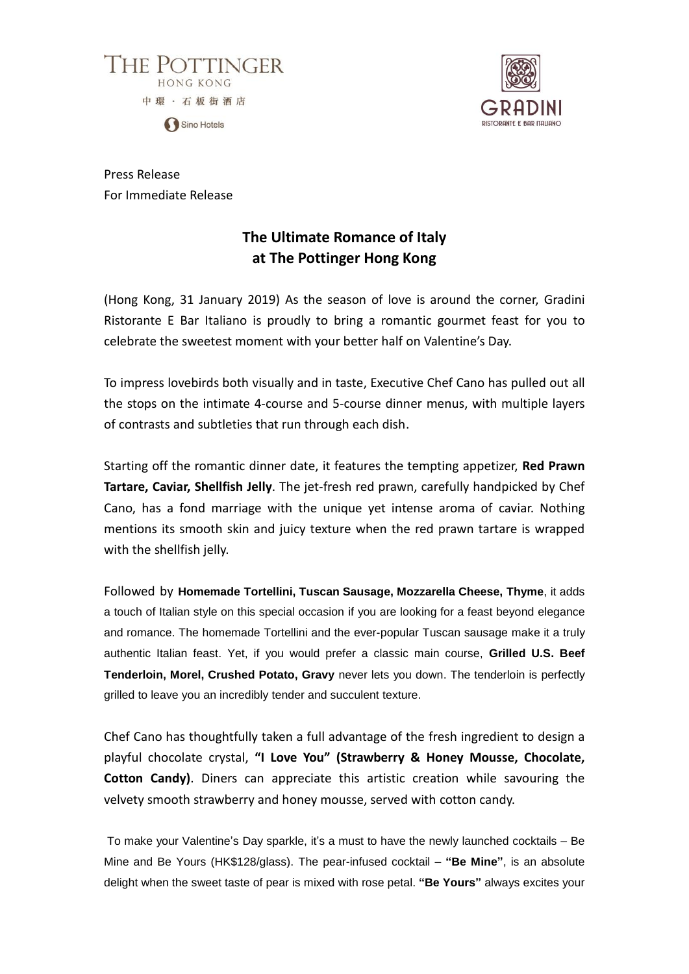



Press Release For Immediate Release

# **The Ultimate Romance of Italy at The Pottinger Hong Kong**

(Hong Kong, 31 January 2019) As the season of love is around the corner, Gradini Ristorante E Bar Italiano is proudly to bring a romantic gourmet feast for you to celebrate the sweetest moment with your better half on Valentine's Day.

To impress lovebirds both visually and in taste, Executive Chef Cano has pulled out all the stops on the intimate 4-course and 5-course dinner menus, with multiple layers of contrasts and subtleties that run through each dish.

Starting off the romantic dinner date, it features the tempting appetizer, **Red Prawn Tartare, Caviar, Shellfish Jelly**. The jet-fresh red prawn, carefully handpicked by Chef Cano, has a fond marriage with the unique yet intense aroma of caviar. Nothing mentions its smooth skin and juicy texture when the red prawn tartare is wrapped with the shellfish jelly.

Followed by **Homemade Tortellini, Tuscan Sausage, Mozzarella Cheese, Thyme**, it adds a touch of Italian style on this special occasion if you are looking for a feast beyond elegance and romance. The homemade Tortellini and the ever-popular Tuscan sausage make it a truly authentic Italian feast. Yet, if you would prefer a classic main course, **Grilled U.S. Beef Tenderloin, Morel, Crushed Potato, Gravy** never lets you down. The tenderloin is perfectly grilled to leave you an incredibly tender and succulent texture.

Chef Cano has thoughtfully taken a full advantage of the fresh ingredient to design a playful chocolate crystal, **"I Love You" (Strawberry & Honey Mousse, Chocolate, Cotton Candy)**. Diners can appreciate this artistic creation while savouring the velvety smooth strawberry and honey mousse, served with cotton candy.

To make your Valentine's Day sparkle, it's a must to have the newly launched cocktails – Be Mine and Be Yours (HK\$128/glass). The pear-infused cocktail – **"Be Mine"**, is an absolute delight when the sweet taste of pear is mixed with rose petal. **"Be Yours"** always excites your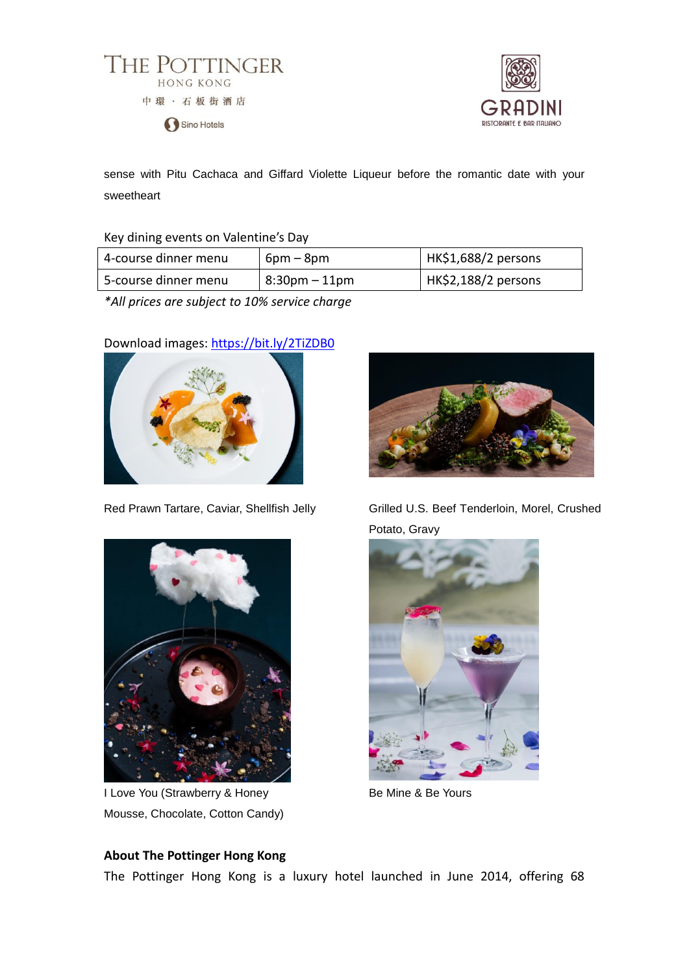



sense with Pitu Cachaca and Giffard Violette Liqueur before the romantic date with your sweetheart

#### Key dining events on Valentine's Day

| 4-course dinner menu | $6pm - 8pm$      | HK\$1,688/2 persons |
|----------------------|------------------|---------------------|
| 5-course dinner menu | $8:30$ pm – 11pm | HK\$2,188/2 persons |

*\*All prices are subject to 10% service charge*

# Download images:<https://bit.ly/2TiZDB0>





I Love You (Strawberry & Honey Mousse, Chocolate, Cotton Candy)



Red Prawn Tartare, Caviar, Shellfish Jelly Grilled U.S. Beef Tenderloin, Morel, Crushed Potato, Gravy



Be Mine & Be Yours

### **About The Pottinger Hong Kong**

The Pottinger Hong Kong is a luxury hotel launched in June 2014, offering 68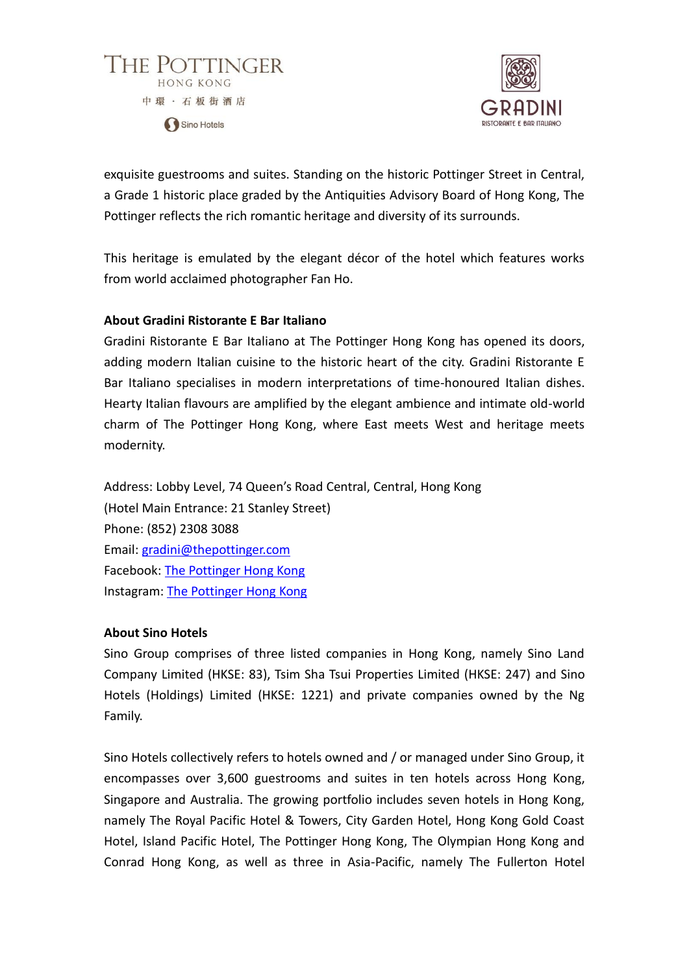



exquisite guestrooms and suites. Standing on the historic Pottinger Street in Central, a Grade 1 historic place graded by the Antiquities Advisory Board of Hong Kong, The Pottinger reflects the rich romantic heritage and diversity of its surrounds.

This heritage is emulated by the elegant décor of the hotel which features works from world acclaimed photographer Fan Ho.

# **About Gradini Ristorante E Bar Italiano**

Gradini Ristorante E Bar Italiano at The Pottinger Hong Kong has opened its doors, adding modern Italian cuisine to the historic heart of the city. Gradini Ristorante E Bar Italiano specialises in modern interpretations of time-honoured Italian dishes. Hearty Italian flavours are amplified by the elegant ambience and intimate old-world charm of The Pottinger Hong Kong, where East meets West and heritage meets modernity.

Address: Lobby Level, 74 Queen's Road Central, Central, Hong Kong (Hotel Main Entrance: 21 Stanley Street) Phone: (852) 2308 3088 Email: [gradini@thepottinger.com](mailto:gradini@thepottinger.com) Facebook: [The Pottinger Hong Kong](https://www.facebook.com/thepottingerhongkong/) Instagram: [The Pottinger Hong Kong](https://www.instagram.com/thepottingerhongkong/)

#### **About Sino Hotels**

Sino Group comprises of three listed companies in Hong Kong, namely Sino Land Company Limited (HKSE: 83), Tsim Sha Tsui Properties Limited (HKSE: 247) and Sino Hotels (Holdings) Limited (HKSE: 1221) and private companies owned by the Ng Family.

Sino Hotels collectively refers to hotels owned and / or managed under Sino Group, it encompasses over 3,600 guestrooms and suites in ten hotels across Hong Kong, Singapore and Australia. The growing portfolio includes seven hotels in Hong Kong, namely The Royal Pacific Hotel & Towers, City Garden Hotel, Hong Kong Gold Coast Hotel, Island Pacific Hotel, The Pottinger Hong Kong, The Olympian Hong Kong and Conrad Hong Kong, as well as three in Asia-Pacific, namely The Fullerton Hotel